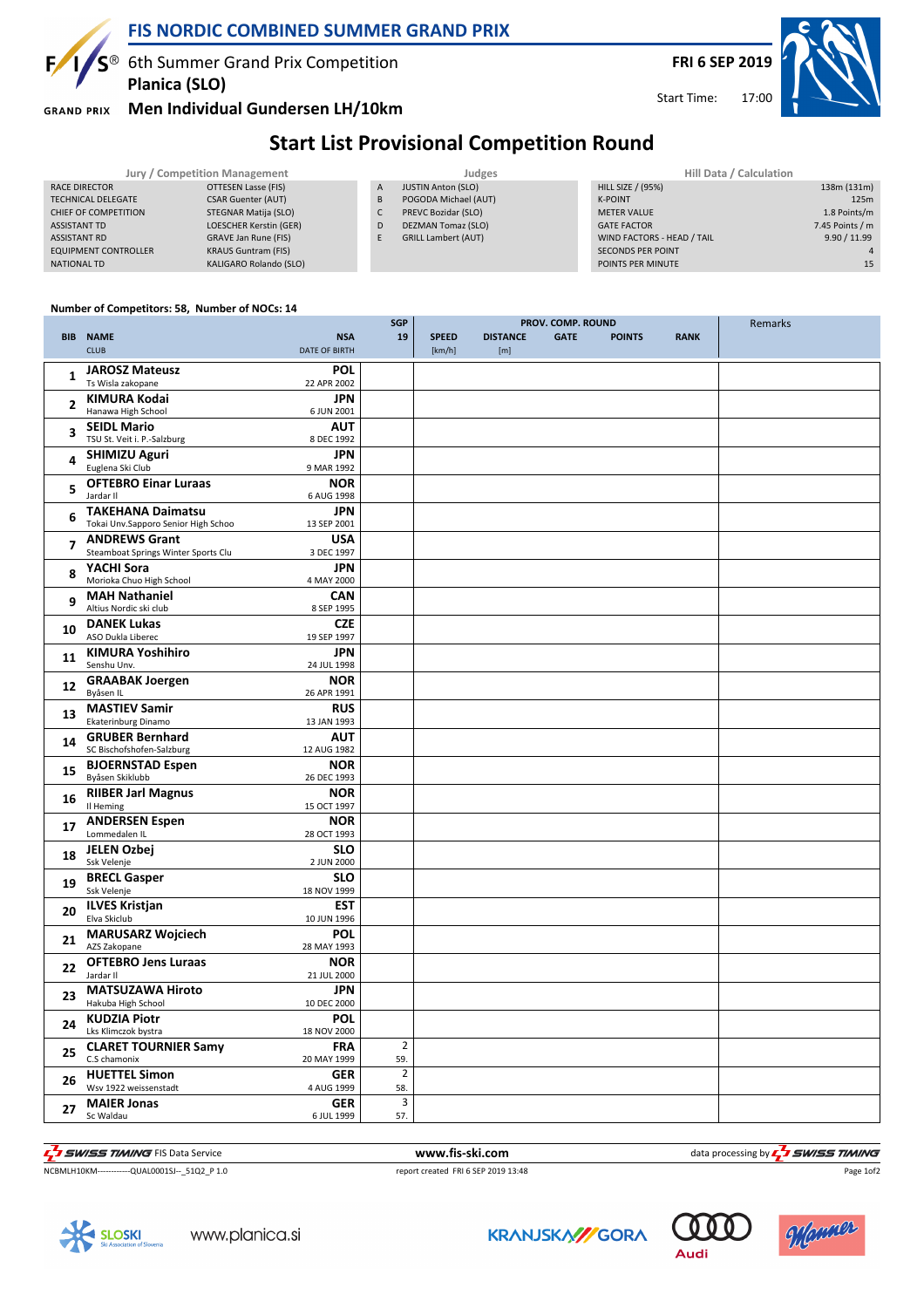

 $S^{\circledast}$  6th Summer Grand Prix Competition **Planica (SLO)**

**GRAND PRIX** 

 $F/$ 

## **Men Individual Gundersen LH/10km**

Start Time:

## **Start List Provisional Competition Round**

| Jury / Competition Management |                             |   | Judges                     | Hill Data / Calculation    |                 |  |
|-------------------------------|-----------------------------|---|----------------------------|----------------------------|-----------------|--|
| RACE DIRECTOR                 | OTTESEN Lasse (FIS)         | A | <b>JUSTIN Anton (SLO)</b>  | <b>HILL SIZE / (95%)</b>   | 138m (131m)     |  |
| <b>TECHNICAL DELEGATE</b>     | <b>CSAR Guenter (AUT)</b>   | B | POGODA Michael (AUT)       | <b>K-POINT</b>             | 125m            |  |
| CHIEF OF COMPETITION          | STEGNAR Matija (SLO)        |   | PREVC Bozidar (SLO)        | <b>METER VALUE</b>         | 1.8 Points/m    |  |
| ASSISTANT TD                  | LOESCHER Kerstin (GER)      | D | DEZMAN Tomaz (SLO)         | <b>GATE FACTOR</b>         | 7.45 Points / m |  |
| <b>ASSISTANT RD</b>           | <b>GRAVE Jan Rune (FIS)</b> | F | <b>GRILL Lambert (AUT)</b> | WIND FACTORS - HEAD / TAIL | 9.90 / 11.99    |  |
| <b>EQUIPMENT CONTROLLER</b>   | <b>KRAUS Guntram (FIS)</b>  |   |                            | <b>SECONDS PER POINT</b>   |                 |  |
| NATIONAL TD                   | KALIGARO Rolando (SLO)      |   |                            | POINTS PER MINUTE          | 15              |  |
|                               |                             |   |                            |                            |                 |  |

## **Number of Competitors: 58, Number of NOCs: 14**

|                |                                                | <b>SGP</b><br>PROV. COMP. ROUND |                         |              |                 | Remarks     |               |             |  |
|----------------|------------------------------------------------|---------------------------------|-------------------------|--------------|-----------------|-------------|---------------|-------------|--|
|                | <b>BIB NAME</b>                                | <b>NSA</b>                      | 19                      | <b>SPEED</b> | <b>DISTANCE</b> | <b>GATE</b> | <b>POINTS</b> | <b>RANK</b> |  |
|                | <b>CLUB</b>                                    | <b>DATE OF BIRTH</b>            |                         | [km/h]       | [m]             |             |               |             |  |
|                | <b>JAROSZ Mateusz</b>                          | <b>POL</b>                      |                         |              |                 |             |               |             |  |
| 1              | Ts Wisla zakopane                              | 22 APR 2002                     |                         |              |                 |             |               |             |  |
|                | <b>KIMURA Kodai</b>                            | <b>JPN</b>                      |                         |              |                 |             |               |             |  |
| $\overline{2}$ | Hanawa High School                             | 6 JUN 2001                      |                         |              |                 |             |               |             |  |
|                | <b>SEIDL Mario</b>                             | <b>AUT</b>                      |                         |              |                 |             |               |             |  |
| 3              | TSU St. Veit i. P.-Salzburg                    | 8 DEC 1992                      |                         |              |                 |             |               |             |  |
| 4              | <b>SHIMIZU Aguri</b>                           | <b>JPN</b>                      |                         |              |                 |             |               |             |  |
|                | Euglena Ski Club                               | 9 MAR 1992                      |                         |              |                 |             |               |             |  |
| 5              | <b>OFTEBRO Einar Luraas</b>                    | <b>NOR</b>                      |                         |              |                 |             |               |             |  |
|                | Jardar II                                      | 6 AUG 1998                      |                         |              |                 |             |               |             |  |
| 6              | <b>TAKEHANA Daimatsu</b>                       | <b>JPN</b>                      |                         |              |                 |             |               |             |  |
|                | Tokai Unv.Sapporo Senior High Schoo            | 13 SEP 2001                     |                         |              |                 |             |               |             |  |
| $\overline{7}$ | <b>ANDREWS Grant</b>                           | <b>USA</b>                      |                         |              |                 |             |               |             |  |
|                | Steamboat Springs Winter Sports Clu            | 3 DEC 1997                      |                         |              |                 |             |               |             |  |
| 8              | YACHI Sora<br>Morioka Chuo High School         | <b>JPN</b>                      |                         |              |                 |             |               |             |  |
|                |                                                | 4 MAY 2000<br><b>CAN</b>        |                         |              |                 |             |               |             |  |
| 9              | <b>MAH Nathaniel</b><br>Altius Nordic ski club | 8 SEP 1995                      |                         |              |                 |             |               |             |  |
|                | <b>DANEK Lukas</b>                             | <b>CZE</b>                      |                         |              |                 |             |               |             |  |
| 10             | ASO Dukla Liberec                              | 19 SEP 1997                     |                         |              |                 |             |               |             |  |
|                | <b>KIMURA Yoshihiro</b>                        | <b>JPN</b>                      |                         |              |                 |             |               |             |  |
| 11             | Senshu Unv.                                    | 24 JUL 1998                     |                         |              |                 |             |               |             |  |
|                | <b>GRAABAK Joergen</b>                         | <b>NOR</b>                      |                         |              |                 |             |               |             |  |
| 12             | Byåsen IL                                      | 26 APR 1991                     |                         |              |                 |             |               |             |  |
| 13             | <b>MASTIEV Samir</b>                           | <b>RUS</b>                      |                         |              |                 |             |               |             |  |
|                | Ekaterinburg Dinamo                            | 13 JAN 1993                     |                         |              |                 |             |               |             |  |
| 14             | <b>GRUBER Bernhard</b>                         | <b>AUT</b>                      |                         |              |                 |             |               |             |  |
|                | SC Bischofshofen-Salzburg                      | 12 AUG 1982                     |                         |              |                 |             |               |             |  |
| 15             | <b>BJOERNSTAD Espen</b><br>Byåsen Skiklubb     | <b>NOR</b>                      |                         |              |                 |             |               |             |  |
|                |                                                | 26 DEC 1993                     |                         |              |                 |             |               |             |  |
| 16             | <b>RIIBER Jarl Magnus</b><br>Il Heming         | <b>NOR</b><br>15 OCT 1997       |                         |              |                 |             |               |             |  |
|                | <b>ANDERSEN Espen</b>                          | <b>NOR</b>                      |                         |              |                 |             |               |             |  |
| 17             | Lommedalen IL                                  | 28 OCT 1993                     |                         |              |                 |             |               |             |  |
|                | <b>JELEN Ozbej</b>                             | <b>SLO</b>                      |                         |              |                 |             |               |             |  |
| 18             | Ssk Velenje                                    | 2 JUN 2000                      |                         |              |                 |             |               |             |  |
| 19             | <b>BRECL Gasper</b>                            | <b>SLO</b>                      |                         |              |                 |             |               |             |  |
|                | Ssk Velenje                                    | 18 NOV 1999                     |                         |              |                 |             |               |             |  |
| 20             | <b>ILVES Kristjan</b>                          | EST                             |                         |              |                 |             |               |             |  |
|                | Elva Skiclub                                   | 10 JUN 1996                     |                         |              |                 |             |               |             |  |
| 21             | <b>MARUSARZ Wojciech</b>                       | <b>POL</b>                      |                         |              |                 |             |               |             |  |
|                | AZS Zakopane                                   | 28 MAY 1993                     |                         |              |                 |             |               |             |  |
| 22             | <b>OFTEBRO Jens Luraas</b><br>Jardar II        | <b>NOR</b><br>21 JUL 2000       |                         |              |                 |             |               |             |  |
|                | <b>MATSUZAWA Hiroto</b>                        | <b>JPN</b>                      |                         |              |                 |             |               |             |  |
| 23             | Hakuba High School                             | 10 DEC 2000                     |                         |              |                 |             |               |             |  |
|                | <b>KUDZIA Piotr</b>                            | <b>POL</b>                      |                         |              |                 |             |               |             |  |
| 24             | Lks Klimczok bystra                            | 18 NOV 2000                     |                         |              |                 |             |               |             |  |
|                | <b>CLARET TOURNIER Samy</b>                    | <b>FRA</b>                      | $\overline{2}$          |              |                 |             |               |             |  |
| 25             | C.S chamonix                                   | 20 MAY 1999                     | 59.                     |              |                 |             |               |             |  |
| 26             | <b>HUETTEL Simon</b>                           | <b>GER</b>                      | $\overline{2}$          |              |                 |             |               |             |  |
|                | Wsv 1922 weissenstadt                          | 4 AUG 1999                      | 58.                     |              |                 |             |               |             |  |
| 27             | <b>MAIER Jonas</b>                             | <b>GER</b>                      | $\overline{\mathbf{3}}$ |              |                 |             |               |             |  |
|                | Sc Waldau                                      | 6 JUL 1999                      | 57.                     |              |                 |             |               |             |  |



Page 1of2

NCBMLH10KM------------QUAL0001SJ--\_51Q2\_P 1.0 report created FRI 6 SEP 2019 13:48









Audi